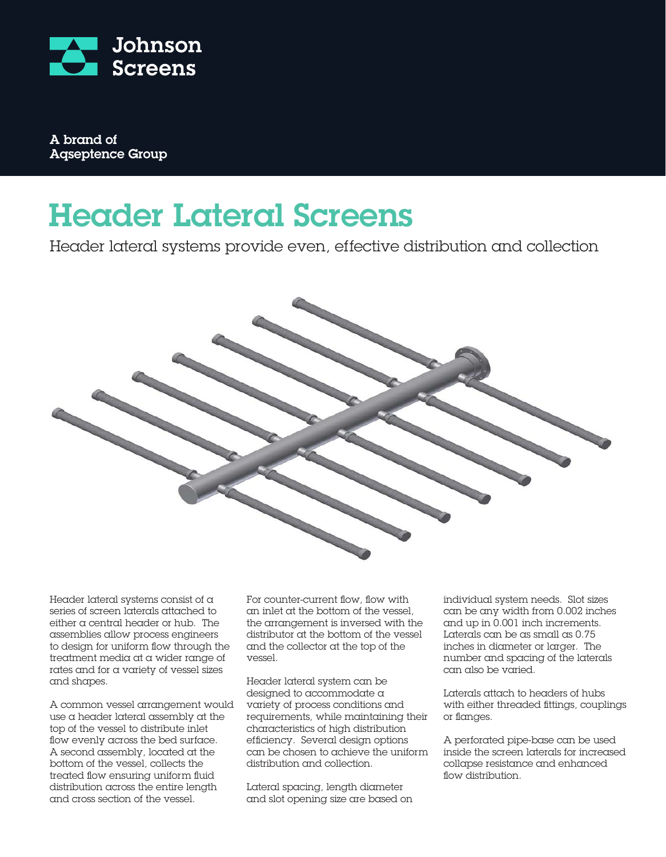

A brand of Aqseptence Group

## Header Lateral Screens

Header lateral systems provide even, effective distribution and collection



Header lateral systems consist of a series of screen laterals attached to either a central header or hub. The assemblies allow process engineers to design for uniform flow through the treatment media at a wider range of rates and for a variety of vessel sizes and shapes.

A common vessel arrangement would use a header lateral assembly at the top of the vessel to distribute inlet flow evenly across the bed surface. A second assembly, located at the bottom of the vessel, collects the treated flow ensuring uniform fluid distribution across the entire length and cross section of the vessel.

For counter-current flow, flow with an inlet at the bottom of the vessel, the arrangement is inversed with the distributor at the bottom of the vessel and the collector at the top of the vessel.

Header lateral system can be designed to accommodate a variety of process conditions and requirements, while maintaining their characteristics of high distribution efficiency. Several design options can be chosen to achieve the uniform distribution and collection.

Lateral spacing, length diameter and slot opening size are based on individual system needs. Slot sizes can be any width from 0.002 inches and up in 0.001 inch increments. Laterals can be as small as 0.75 inches in diameter or larger. The number and spacing of the laterals can also be varied.

Laterals attach to headers of hubs with either threaded fittings, couplings or flanges.

A perforated pipe-base can be used inside the screen laterals for increased collapse resistance and enhanced flow distribution.